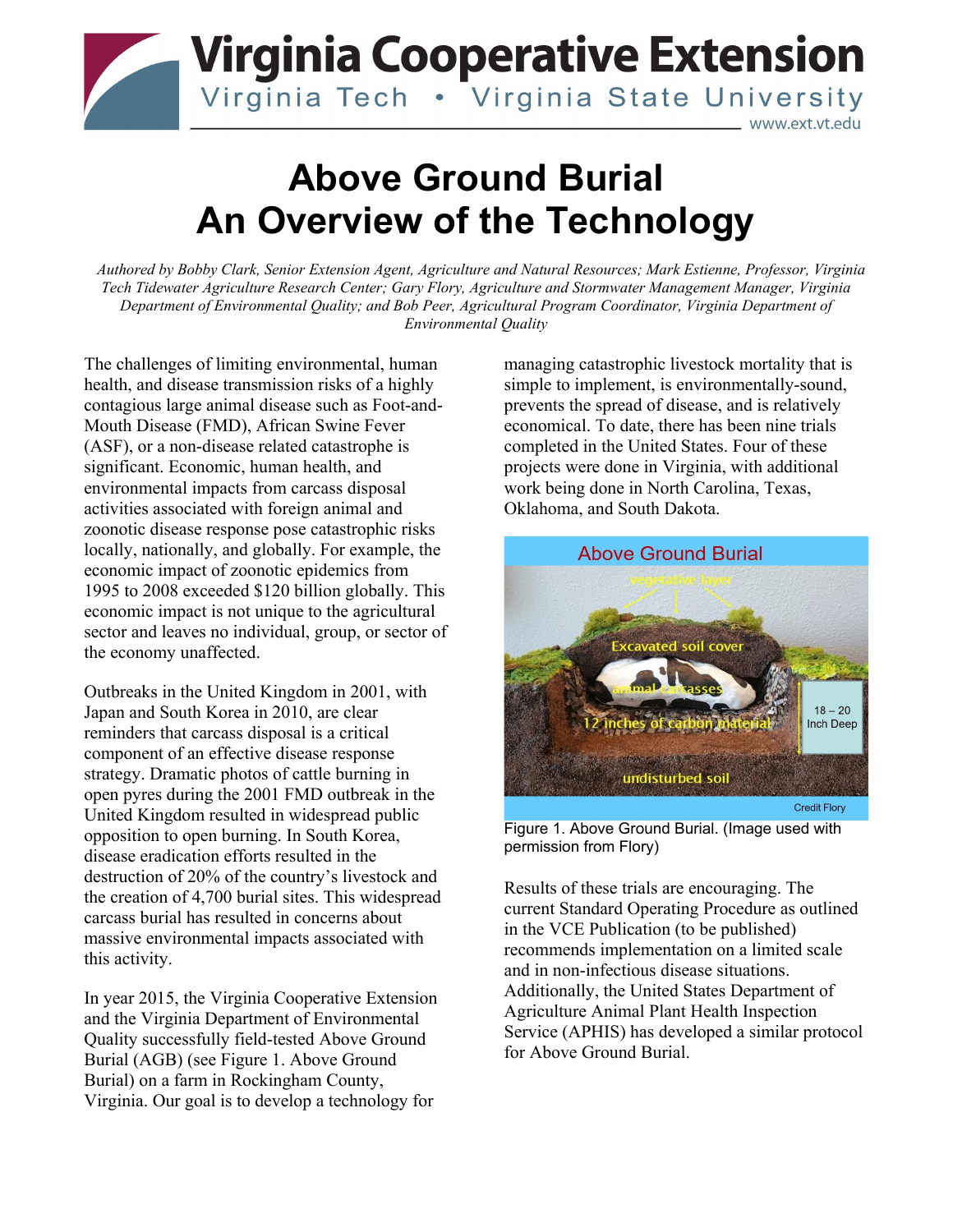## **Virginia Cooperative Extension** Virginia Tech . Virginia State University www.ext.vt.edu

# **Above Ground Burial An Overview of the Technology**

*Authored by Bobby Clark, Senior Extension Agent, Agriculture and Natural Resources; Mark Estienne, Professor, Virginia Tech Tidewater Agriculture Research Center; Gary Flory, Agriculture and Stormwater Management Manager, Virginia Department of Environmental Quality; and Bob Peer, Agricultural Program Coordinator, Virginia Department of Environmental Quality*

The challenges of limiting environmental, human health, and disease transmission risks of a highly contagious large animal disease such as Foot-and-Mouth Disease (FMD), African Swine Fever (ASF), or a non-disease related catastrophe is significant. Economic, human health, and environmental impacts from carcass disposal activities associated with foreign animal and zoonotic disease response pose catastrophic risks locally, nationally, and globally. For example, the economic impact of zoonotic epidemics from 1995 to 2008 exceeded \$120 billion globally. This economic impact is not unique to the agricultural sector and leaves no individual, group, or sector of the economy unaffected.

Outbreaks in the United Kingdom in 2001, with Japan and South Korea in 2010, are clear reminders that carcass disposal is a critical component of an effective disease response strategy. Dramatic photos of cattle burning in open pyres during the 2001 FMD outbreak in the United Kingdom resulted in widespread public opposition to open burning. In South Korea, disease eradication efforts resulted in the destruction of 20% of the country's livestock and the creation of 4,700 burial sites. This widespread carcass burial has resulted in concerns about massive environmental impacts associated with this activity.

In year 2015, the Virginia Cooperative Extension and the Virginia Department of Environmental Quality successfully field-tested Above Ground Burial (AGB) (see Figure 1. Above Ground Burial) on a farm in Rockingham County, Virginia. Our goal is to develop a technology for

managing catastrophic livestock mortality that is simple to implement, is environmentally-sound, prevents the spread of disease, and is relatively economical. To date, there has been nine trials completed in the United States. Four of these projects were done in Virginia, with additional work being done in North Carolina, Texas, Oklahoma, and South Dakota.



Figure 1. Above Ground Burial. (Image used with permission from Flory)

Results of these trials are encouraging. The current Standard Operating Procedure as outlined in the VCE Publication (to be published) recommends implementation on a limited scale and in non-infectious disease situations. Additionally, the United States Department of Agriculture Animal Plant Health Inspection Service (APHIS) has developed a similar protocol for Above Ground Burial.